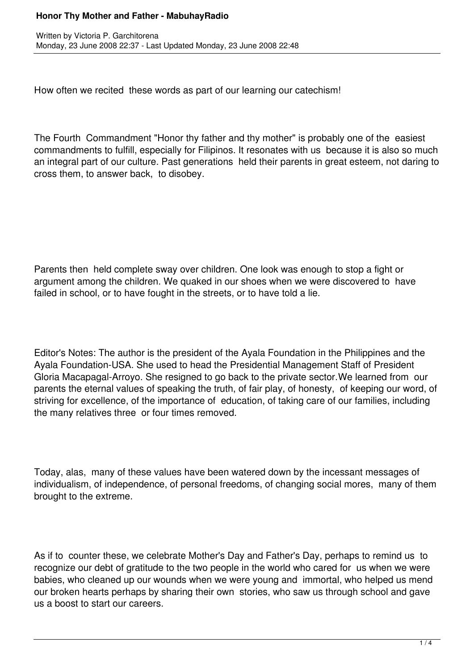## **Honor Thy Mother and Father - MabuhayRadio**

How often we recited these words as part of our learning our catechism!

The Fourth Commandment "Honor thy father and thy mother" is probably one of the easiest commandments to fulfill, especially for Filipinos. It resonates with us because it is also so much an integral part of our culture. Past generations held their parents in great esteem, not daring to cross them, to answer back, to disobey.

Parents then held complete sway over children. One look was enough to stop a fight or argument among the children. We quaked in our shoes when we were discovered to have failed in school, or to have fought in the streets, or to have told a lie.

Editor's Notes: The author is the president of the Ayala Foundation in the Philippines and the Ayala Foundation-USA. She used to head the Presidential Management Staff of President Gloria Macapagal-Arroyo. She resigned to go back to the private sector.We learned from our parents the eternal values of speaking the truth, of fair play, of honesty, of keeping our word, of striving for excellence, of the importance of education, of taking care of our families, including the many relatives three or four times removed.

Today, alas, many of these values have been watered down by the incessant messages of individualism, of independence, of personal freedoms, of changing social mores, many of them brought to the extreme.

As if to counter these, we celebrate Mother's Day and Father's Day, perhaps to remind us to recognize our debt of gratitude to the two people in the world who cared for us when we were babies, who cleaned up our wounds when we were young and immortal, who helped us mend our broken hearts perhaps by sharing their own stories, who saw us through school and gave us a boost to start our careers.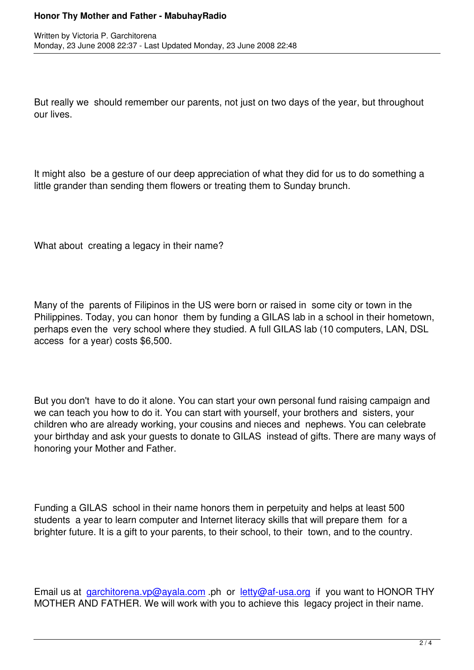But really we should remember our parents, not just on two days of the year, but throughout our lives.

It might also be a gesture of our deep appreciation of what they did for us to do something a little grander than sending them flowers or treating them to Sunday brunch.

What about creating a legacy in their name?

Many of the parents of Filipinos in the US were born or raised in some city or town in the Philippines. Today, you can honor them by funding a GILAS lab in a school in their hometown, perhaps even the very school where they studied. A full GILAS lab (10 computers, LAN, DSL access for a year) costs \$6,500.

But you don't have to do it alone. You can start your own personal fund raising campaign and we can teach you how to do it. You can start with yourself, your brothers and sisters, your children who are already working, your cousins and nieces and nephews. You can celebrate your birthday and ask your guests to donate to GILAS instead of gifts. There are many ways of honoring your Mother and Father.

Funding a GILAS school in their name honors them in perpetuity and helps at least 500 students a year to learn computer and Internet literacy skills that will prepare them for a brighter future. It is a gift to your parents, to their school, to their town, and to the country.

Email us at garchitorena.vp@ayala.com .ph or letty@af-usa.org if you want to HONOR THY MOTHER AND FATHER. We will work with you to achieve this legacy project in their name.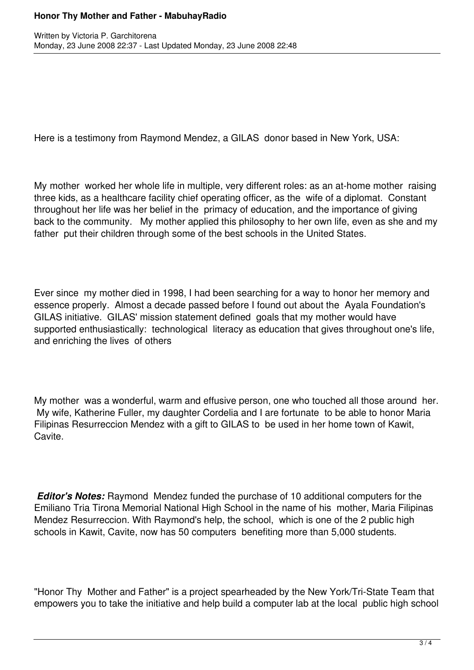## **Honor Thy Mother and Father - MabuhayRadio**

Here is a testimony from Raymond Mendez, a GILAS donor based in New York, USA:

My mother worked her whole life in multiple, very different roles: as an at-home mother raising three kids, as a healthcare facility chief operating officer, as the wife of a diplomat. Constant throughout her life was her belief in the primacy of education, and the importance of giving back to the community. My mother applied this philosophy to her own life, even as she and my father put their children through some of the best schools in the United States.

Ever since my mother died in 1998, I had been searching for a way to honor her memory and essence properly. Almost a decade passed before I found out about the Ayala Foundation's GILAS initiative. GILAS' mission statement defined goals that my mother would have supported enthusiastically: technological literacy as education that gives throughout one's life, and enriching the lives of others

My mother was a wonderful, warm and effusive person, one who touched all those around her. My wife, Katherine Fuller, my daughter Cordelia and I are fortunate to be able to honor Maria Filipinas Resurreccion Mendez with a gift to GILAS to be used in her home town of Kawit, Cavite.

*Editor's Notes:* Raymond Mendez funded the purchase of 10 additional computers for the Emiliano Tria Tirona Memorial National High School in the name of his mother, Maria Filipinas Mendez Resurreccion. With Raymond's help, the school, which is one of the 2 public high schools in Kawit, Cavite, now has 50 computers benefiting more than 5,000 students.

"Honor Thy Mother and Father" is a project spearheaded by the New York/Tri-State Team that empowers you to take the initiative and help build a computer lab at the local public high school